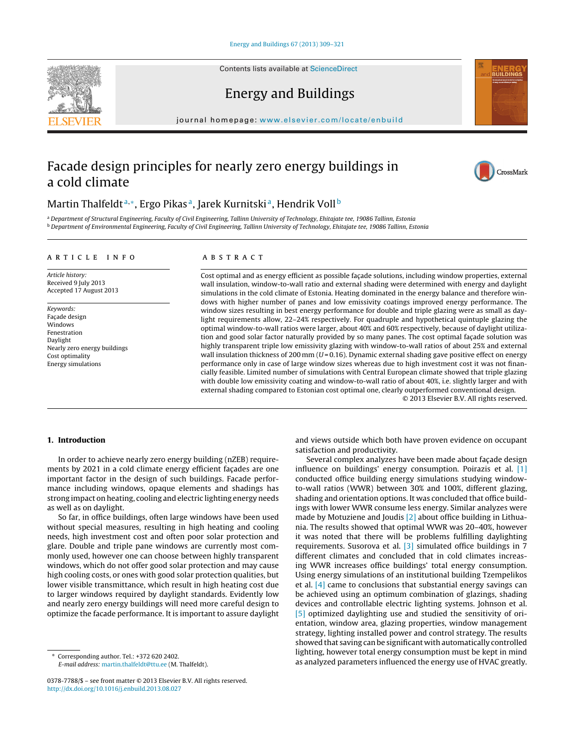Contents lists available at [ScienceDirect](http://www.sciencedirect.com/science/journal/03787788)





## Energy and Buildings

iournal homepage: [www.elsevier.com/locate/enbuild](http://www.elsevier.com/locate/enbuild)

# Facade design principles for nearly zero energy buildings in a cold climate



### Martin Thalfeldt<sup>a,∗</sup>, Ergo Pikas<sup>a</sup>, Jarek Kurnitski<sup>a</sup>, Hendrik Voll<sup>b</sup>

a Department of Structural Engineering, Faculty of Civil Engineering, Tallinn University of Technology, Ehitajate tee, 19086 Tallinn, Estonia <sup>b</sup> Department of Environmental Engineering, Faculty of Civil Engineering, Tallinn University of Technology, Ehitajate tee, 19086 Tallinn, Estonia

#### ARTICLE INFO

Article history: Received 9 July 2013 Accepted 17 August 2013

Keywords: Facade design Windows Fenestration Daylight Nearly zero energy buildings Cost optimality Energy simulations

#### A B S T R A C T

Cost optimal and as energy efficient as possible façade solutions, including window properties, external wall insulation, window-to-wall ratio and external shading were determined with energy and daylight simulations in the cold climate of Estonia. Heating dominated in the energy balance and therefore windows with higher number of panes and low emissivity coatings improved energy performance. The window sizes resulting in best energy performance for double and triple glazing were as small as daylight requirements allow, 22–24% respectively. For quadruple and hypothetical quintuple glazing the optimal window-to-wall ratios were larger, about 40% and 60% respectively, because of daylight utilization and good solar factor naturally provided by so many panes. The cost optimal façade solution was highly transparent triple low emissivity glazing with window-to-wall ratios of about 25% and external wall insulation thickness of 200 mm ( $U = 0.16$ ). Dynamic external shading gave positive effect on energy performance only in case of large window sizes whereas due to high investment cost it was not financially feasible. Limited number of simulations with Central European climate showed that triple glazing with double low emissivity coating and window-to-wall ratio of about 40%, i.e. slightly larger and with external shading compared to Estonian cost optimal one, clearly outperformed conventional design.

© 2013 Elsevier B.V. All rights reserved.

#### **1. Introduction**

In order to achieve nearly zero energy building (nZEB) requirements by 2021 in a cold climate energy efficient façades are one important factor in the design of such buildings. Facade performance including windows, opaque elements and shadings has strong impact on heating, cooling and electric lighting energy needs as well as on daylight.

So far, in office buildings, often large windows have been used without special measures, resulting in high heating and cooling needs, high investment cost and often poor solar protection and glare. Double and triple pane windows are currently most commonly used, however one can choose between highly transparent windows, which do not offer good solar protection and may cause high cooling costs, or ones with good solar protection qualities, but lower visible transmittance, which result in high heating cost due to larger windows required by daylight standards. Evidently low and nearly zero energy buildings will need more careful design to optimize the facade performance. It is important to assure daylight

∗ Corresponding author. Tel.: +372 620 2402. E-mail address: [martin.thalfeldt@ttu.ee](mailto:martin.thalfeldt@ttu.ee) (M. Thalfeldt). and views outside which both have proven evidence on occupant satisfaction and productivity.

Several complex analyzes have been made about façade design influence on buildings' energy consumption. Poirazis et al. [\[1\]](#page--1-0) conducted office building energy simulations studying windowto-wall ratios (WWR) between 30% and 100%, different glazing, shading and orientation options. It was concluded that office buildings with lower WWR consume less energy. Similar analyzes were made by Motuziene and Joudis [\[2\]](#page--1-0) about office building in Lithuania. The results showed that optimal WWR was 20–40%, however it was noted that there will be problems fulfilling daylighting requirements. Susorova et al. [\[3\]](#page--1-0) simulated office buildings in 7 different climates and concluded that in cold climates increasing WWR increases office buildings' total energy consumption. Using energy simulations of an institutional building Tzempelikos et al. [\[4\]](#page--1-0) came to conclusions that substantial energy savings can be achieved using an optimum combination of glazings, shading devices and controllable electric lighting systems. Johnson et al. [\[5\]](#page--1-0) optimized daylighting use and studied the sensitivity of orientation, window area, glazing properties, window management strategy, lighting installed power and control strategy. The results showed that saving can be significant with automatically controlled lighting, however total energy consumption must be kept in mind as analyzed parameters influenced the energy use of HVAC greatly.

<sup>0378-7788/\$</sup> – see front matter © 2013 Elsevier B.V. All rights reserved. [http://dx.doi.org/10.1016/j.enbuild.2013.08.027](dx.doi.org/10.1016/j.enbuild.2013.08.027)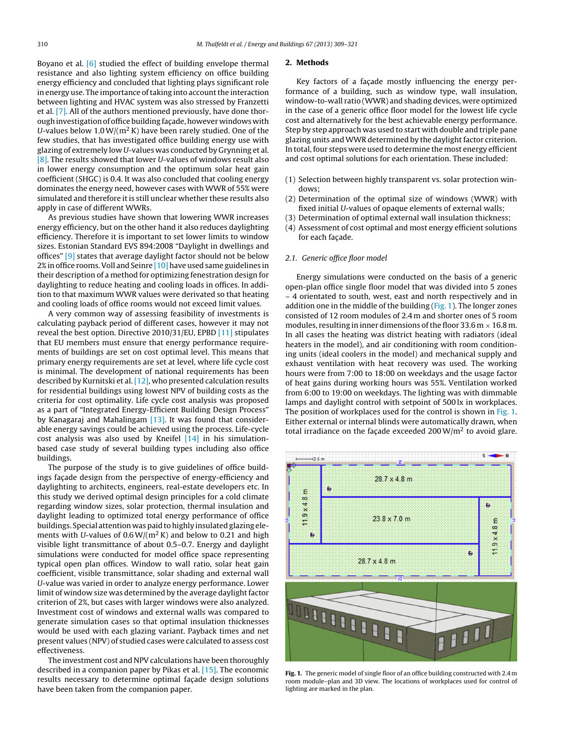Boyano et al. [\[6\]](#page--1-0) studied the effect of building envelope thermal resistance and also lighting system efficiency on office building energy efficiency and concluded that lighting plays significant role in energy use. The importance of taking into account the interaction between lighting and HVAC system was also stressed by Franzetti et al. [\[7\].](#page--1-0) All of the authors mentioned previously, have done thorough investigation of office building facade, however windows with U-values below  $1.0 \text{ W/(m}^2 \text{ K})$  have been rarely studied. One of the few studies, that has investigated office building energy use with glazing of extremely low U-values was conducted by Grynning et al. [\[8\].](#page--1-0) The results showed that lower U-values of windows result also in lower energy consumption and the optimum solar heat gain coefficient (SHGC) is 0.4. It was also concluded that cooling energy dominates the energy need, however cases with WWR of 55% were simulated and therefore it is still unclear whether these results also apply in case of different WWRs.

As previous studies have shown that lowering WWR increases energy efficiency, but on the other hand it also reduces daylighting efficiency. Therefore it is important to set lower limits to window sizes. Estonian Standard EVS 894:2008 "Daylight in dwellings and offices" [\[9\]](#page--1-0) states that average daylight factor should not be below 2% in office rooms. Voll and Seinre [10] have used same guidelines in their description of a method for optimizing fenestration design for daylighting to reduce heating and cooling loads in offices. In addition to that maximum WWR values were derivated so that heating and cooling loads of office rooms would not exceed limit values.

A very common way of assessing feasibility of investments is calculating payback period of different cases, however it may not reveal the best option. Directive 2010/31/EU, EPBD [\[11\]](#page--1-0) stipulates that EU members must ensure that energy performance requirements of buildings are set on cost optimal level. This means that primary energy requirements are set at level, where life cycle cost is minimal. The development of national requirements has been described by Kurnitski et al. [\[12\],](#page--1-0) who presented calculation results for residential buildings using lowest NPV of building costs as the criteria for cost optimality. Life cycle cost analysis was proposed as a part of "Integrated Energy-Efficient Building Design Process" by Kanagaraj and Mahalingam [\[13\].](#page--1-0) It was found that considerable energy savings could be achieved using the process. Life-cycle cost analysis was also used by Kneifel [\[14\]](#page--1-0) in his simulationbased case study of several building types including also office buildings.

The purpose of the study is to give guidelines of office buildings facade design from the perspective of energy-efficiency and daylighting to architects, engineers, real-estate developers etc. In this study we derived optimal design principles for a cold climate regarding window sizes, solar protection, thermal insulation and daylight leading to optimized total energy performance of office buildings. Special attention was paid to highly insulated glazing elements with U-values of  $0.6 W/(m^2 K)$  and below to 0.21 and high visible light transmittance of about 0.5–0.7. Energy and daylight simulations were conducted for model office space representing typical open plan offices. Window to wall ratio, solar heat gain coefficient, visible transmittance, solar shading and external wall U-value was varied in order to analyze energy performance. Lower limit of window size was determined by the average daylight factor criterion of 2%, but cases with larger windows were also analyzed. Investment cost of windows and external walls was compared to generate simulation cases so that optimal insulation thicknesses would be used with each glazing variant. Payback times and net present values (NPV) of studied cases were calculated to assess cost effectiveness.

The investment cost and NPV calculations have been thoroughly described in a companion paper by Pikas et al. [\[15\].](#page--1-0) The economic results necessary to determine optimal façade design solutions have been taken from the companion paper.

#### **2. Methods**

Key factors of a façade mostly influencing the energy performance of a building, such as window type, wall insulation, window-to-wall ratio (WWR) and shading devices, were optimized in the case of a generic office floor model for the lowest life cycle cost and alternatively for the best achievable energy performance. Step by step approach was used to start with double and triple pane glazing units and WWR determined by the daylight factor criterion. In total, four steps were used to determine the most energy efficient and cost optimal solutions for each orientation. These included:

- (1) Selection between highly transparent vs. solar protection windows;
- (2) Determination of the optimal size of windows (WWR) with fixed initial U-values of opaque elements of external walls;
- (3) Determination of optimal external wall insulation thickness;
- (4) Assessment of cost optimal and most energy efficient solutions for each façade.

#### 2.1. Generic office floor model

Energy simulations were conducted on the basis of a generic open-plan office single floor model that was divided into 5 zones – 4 orientated to south, west, east and north respectively and in addition one in the middle of the building (Fig. 1). The longer zones consisted of 12 room modules of 2.4 m and shorter ones of 5 room modules, resulting in inner dimensions of the floor  $33.6$  m  $\times$  16.8 m. In all cases the heating was district heating with radiators (ideal heaters in the model), and air conditioning with room conditioning units (ideal coolers in the model) and mechanical supply and exhaust ventilation with heat recovery was used. The working hours were from 7:00 to 18:00 on weekdays and the usage factor of heat gains during working hours was 55%. Ventilation worked from 6:00 to 19:00 on weekdays. The lighting was with dimmable lamps and daylight control with setpoint of 500 lx in workplaces. The position of workplaces used for the control is shown in Fig. 1. Either external or internal blinds were automatically drawn, when total irradiance on the façade exceeded 200  $W/m^2$  to avoid glare.



**Fig. 1.** The generic model of single floor of an office building constructed with 2.4 m room module–plan and 3D view. The locations of workplaces used for control of lighting are marked in the plan.